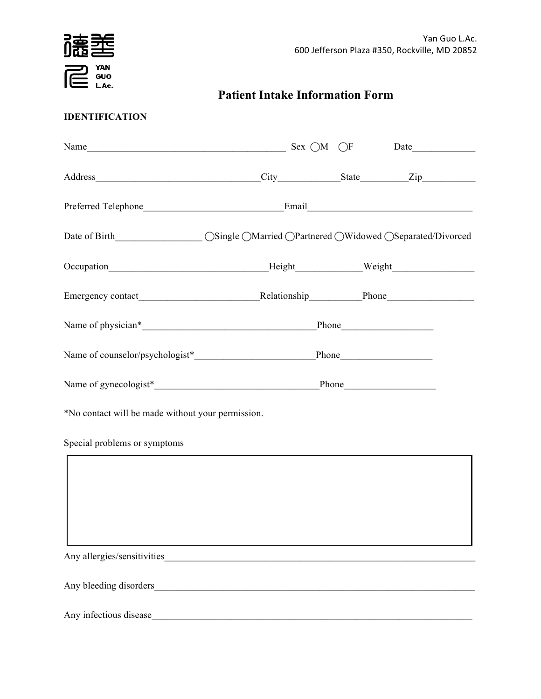

**Patient Intake Information Form**

# **IDENTIFICATION**

| Date of Birth__________________ OSingle OMarried OPartnered OWidowed OSeparated/Divorced |                                                    |  |
|------------------------------------------------------------------------------------------|----------------------------------------------------|--|
| Occupation__________________________________Height_______________Weight________________  |                                                    |  |
|                                                                                          |                                                    |  |
|                                                                                          |                                                    |  |
|                                                                                          |                                                    |  |
|                                                                                          |                                                    |  |
| *No contact will be made without your permission.                                        |                                                    |  |
| Special problems or symptoms                                                             |                                                    |  |
|                                                                                          |                                                    |  |
|                                                                                          |                                                    |  |
|                                                                                          |                                                    |  |
| Any allergies/sensitivities                                                              |                                                    |  |
| Any bleeding disorders                                                                   | <u> 1988 - Johann Barn, amerikansk politiker (</u> |  |
| Any infectious disease                                                                   |                                                    |  |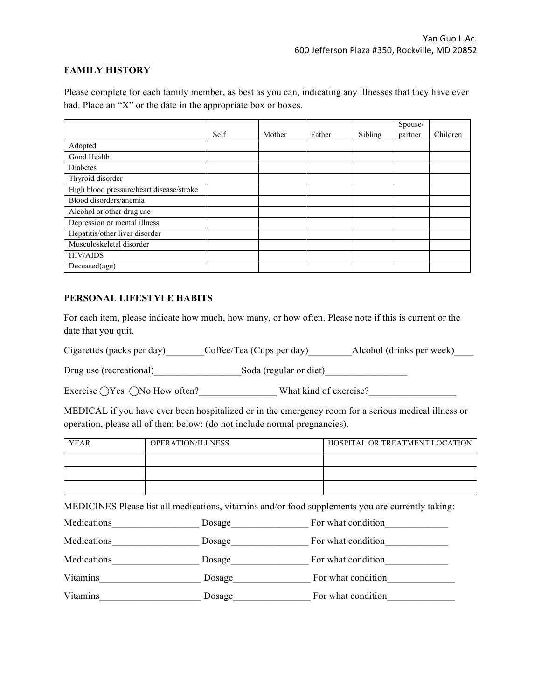### **FAMILY HISTORY**

Please complete for each family member, as best as you can, indicating any illnesses that they have ever had. Place an "X" or the date in the appropriate box or boxes.

|                                          |      |        |        |         | Spouse/ |          |
|------------------------------------------|------|--------|--------|---------|---------|----------|
|                                          | Self | Mother | Father | Sibling | partner | Children |
| Adopted                                  |      |        |        |         |         |          |
| Good Health                              |      |        |        |         |         |          |
| Diabetes                                 |      |        |        |         |         |          |
| Thyroid disorder                         |      |        |        |         |         |          |
| High blood pressure/heart disease/stroke |      |        |        |         |         |          |
| Blood disorders/anemia                   |      |        |        |         |         |          |
| Alcohol or other drug use                |      |        |        |         |         |          |
| Depression or mental illness             |      |        |        |         |         |          |
| Hepatitis/other liver disorder           |      |        |        |         |         |          |
| Musculoskeletal disorder                 |      |        |        |         |         |          |
| <b>HIV/AIDS</b>                          |      |        |        |         |         |          |
| Deceased(age)                            |      |        |        |         |         |          |

#### **PERSONAL LIFESTYLE HABITS**

For each item, please indicate how much, how many, or how often. Please note if this is current or the date that you quit.

Cigarettes (packs per day) Coffee/Tea (Cups per day) Alcohol (drinks per week)

Drug use (recreational)  $Soda$  (regular or diet)

Exercise ⃝Yes ⃝No How often?\_\_\_\_\_\_\_\_\_\_\_\_\_\_\_\_ What kind of exercise?\_\_\_\_\_\_\_\_\_\_\_\_\_\_\_\_\_\_

MEDICAL if you have ever been hospitalized or in the emergency room for a serious medical illness or operation, please all of them below: (do not include normal pregnancies).

| <b>YEAR</b> | OPERATION/ILLNESS | HOSPITAL OR TREATMENT LOCATION |
|-------------|-------------------|--------------------------------|
|             |                   |                                |
|             |                   |                                |
|             |                   |                                |

MEDICINES Please list all medications, vitamins and/or food supplements you are currently taking:

| Medications | Dosage | For what condition |
|-------------|--------|--------------------|
| Medications | Dosage | For what condition |
| Medications | Dosage | For what condition |
| Vitamins    | Dosage | For what condition |
| Vitamins    | Dosage | For what condition |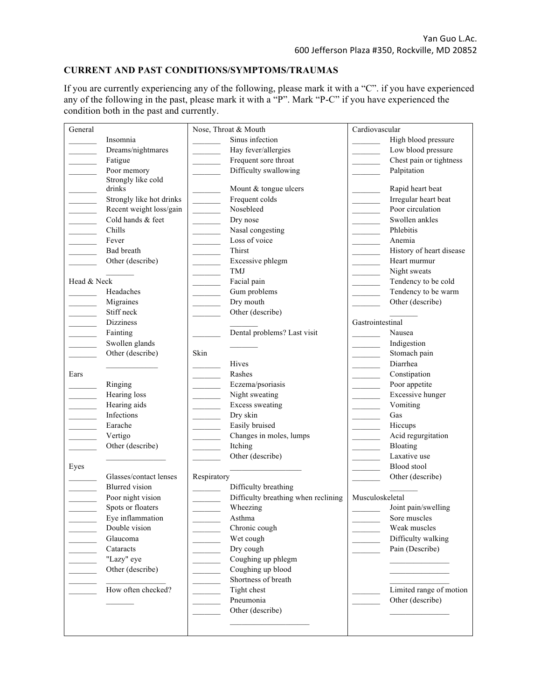### **CURRENT AND PAST CONDITIONS/SYMPTOMS/TRAUMAS**

If you are currently experiencing any of the following, please mark it with a "C". if you have experienced any of the following in the past, please mark it with a "P". Mark "P-C" if you have experienced the condition both in the past and currently.

| General     |                          |                           | Nose, Throat & Mouth                | Cardiovascular   |                          |
|-------------|--------------------------|---------------------------|-------------------------------------|------------------|--------------------------|
|             | Insomnia                 |                           | Sinus infection                     |                  | High blood pressure      |
|             | Dreams/nightmares        |                           | Hay fever/allergies                 |                  | Low blood pressure       |
|             | Fatigue                  |                           | Frequent sore throat                |                  | Chest pain or tightness  |
|             | Poor memory              |                           | Difficulty swallowing               |                  | Palpitation              |
|             | Strongly like cold       |                           |                                     |                  |                          |
|             | drinks                   |                           | Mount & tongue ulcers               |                  | Rapid heart beat         |
|             | Strongly like hot drinks | <u> Liberal College (</u> | Frequent colds                      |                  | Irregular heart beat     |
|             | Recent weight loss/gain  |                           | Nosebleed                           |                  | Poor circulation         |
|             | Cold hands & feet        |                           | Dry nose                            |                  | Swollen ankles           |
|             | Chills                   |                           | Nasal congesting                    |                  | Phlebitis                |
|             | Fever                    |                           | Loss of voice                       |                  | Anemia                   |
|             | Bad breath               |                           | <b>Thirst</b>                       |                  | History of heart disease |
|             | Other (describe)         |                           | Excessive phlegm                    |                  | Heart murmur             |
|             |                          |                           | TMJ                                 |                  | Night sweats             |
| Head & Neck |                          |                           | Facial pain                         |                  | Tendency to be cold      |
|             | Headaches                |                           | Gum problems                        |                  | Tendency to be warm      |
|             | Migraines                |                           | Dry mouth                           |                  | Other (describe)         |
|             | Stiff neck               |                           | Other (describe)                    |                  |                          |
|             | Dizziness                |                           |                                     | Gastrointestinal |                          |
|             | Fainting                 |                           | Dental problems? Last visit         |                  | Nausea                   |
|             | Swollen glands           |                           |                                     |                  | Indigestion              |
|             | Other (describe)         | Skin                      |                                     |                  | Stomach pain             |
|             |                          |                           | Hives                               |                  | Diarrhea                 |
| Ears        |                          |                           | Rashes                              |                  | Constipation             |
|             | Ringing                  |                           | Eczema/psoriasis                    |                  | Poor appetite            |
|             | Hearing loss             |                           | Night sweating                      |                  | Excessive hunger         |
|             | Hearing aids             |                           | <b>Excess sweating</b>              |                  | Vomiting                 |
|             | Infections               |                           | Dry skin                            |                  | Gas                      |
|             | Earache                  |                           | Easily bruised                      |                  | Hiccups                  |
|             | Vertigo                  |                           | Changes in moles, lumps             |                  | Acid regurgitation       |
|             | Other (describe)         |                           | Itching                             |                  | Bloating                 |
|             |                          |                           | Other (describe)                    |                  | Laxative use             |
| Eyes        |                          |                           |                                     |                  | Blood stool              |
|             | Glasses/contact lenses   | Respiratory               |                                     |                  | Other (describe)         |
|             | <b>Blurred</b> vision    |                           | Difficulty breathing                |                  |                          |
|             | Poor night vision        |                           | Difficulty breathing when reclining | Musculoskeletal  |                          |
|             | Spots or floaters        |                           | Wheezing                            |                  | Joint pain/swelling      |
|             | Eye inflammation         |                           | Asthma                              |                  | Sore muscles             |
|             | Double vision            |                           | Chronic cough                       |                  | Weak muscles             |
|             | Glaucoma                 |                           | Wet cough                           |                  | Difficulty walking       |
|             | Cataracts                |                           | Dry cough                           |                  | Pain (Describe)          |
|             | "Lazy" eye               |                           | Coughing up phlegm                  |                  |                          |
|             | Other (describe)         |                           | Coughing up blood                   |                  |                          |
|             |                          |                           | Shortness of breath                 |                  |                          |
|             | How often checked?       |                           | Tight chest                         |                  | Limited range of motion  |
|             |                          |                           | Pneumonia                           |                  | Other (describe)         |
|             |                          |                           | Other (describe)                    |                  |                          |
|             |                          |                           |                                     |                  |                          |
|             |                          |                           |                                     |                  |                          |